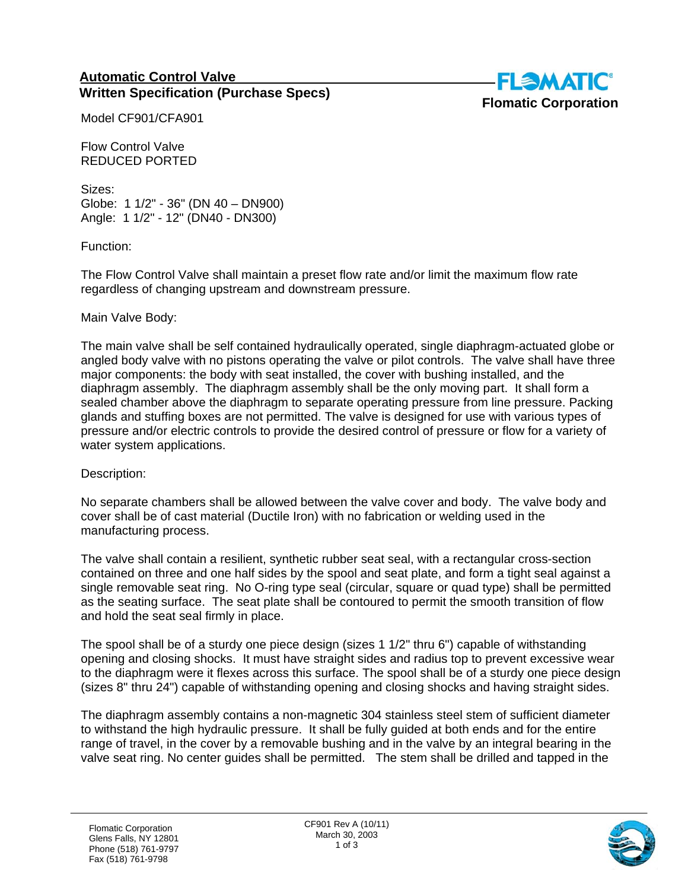## **Automatic Control Valve Written Specification (Purchase Specs)**



Model CF901/CFA901

Flow Control Valve REDUCED PORTED

Sizes: Globe: 1 1/2" - 36" (DN 40 – DN900) Angle: 1 1/2" - 12" (DN40 - DN300)

Function:

The Flow Control Valve shall maintain a preset flow rate and/or limit the maximum flow rate regardless of changing upstream and downstream pressure.

## Main Valve Body:

The main valve shall be self contained hydraulically operated, single diaphragm-actuated globe or angled body valve with no pistons operating the valve or pilot controls. The valve shall have three major components: the body with seat installed, the cover with bushing installed, and the diaphragm assembly. The diaphragm assembly shall be the only moving part. It shall form a sealed chamber above the diaphragm to separate operating pressure from line pressure. Packing glands and stuffing boxes are not permitted. The valve is designed for use with various types of pressure and/or electric controls to provide the desired control of pressure or flow for a variety of water system applications.

Description:

No separate chambers shall be allowed between the valve cover and body. The valve body and cover shall be of cast material (Ductile Iron) with no fabrication or welding used in the manufacturing process.

The valve shall contain a resilient, synthetic rubber seat seal, with a rectangular cross-section contained on three and one half sides by the spool and seat plate, and form a tight seal against a single removable seat ring. No O-ring type seal (circular, square or quad type) shall be permitted as the seating surface. The seat plate shall be contoured to permit the smooth transition of flow and hold the seat seal firmly in place.

The spool shall be of a sturdy one piece design (sizes 1 1/2" thru 6") capable of withstanding opening and closing shocks. It must have straight sides and radius top to prevent excessive wear to the diaphragm were it flexes across this surface. The spool shall be of a sturdy one piece design (sizes 8" thru 24") capable of withstanding opening and closing shocks and having straight sides.

The diaphragm assembly contains a non-magnetic 304 stainless steel stem of sufficient diameter to withstand the high hydraulic pressure. It shall be fully guided at both ends and for the entire range of travel, in the cover by a removable bushing and in the valve by an integral bearing in the valve seat ring. No center guides shall be permitted. The stem shall be drilled and tapped in the

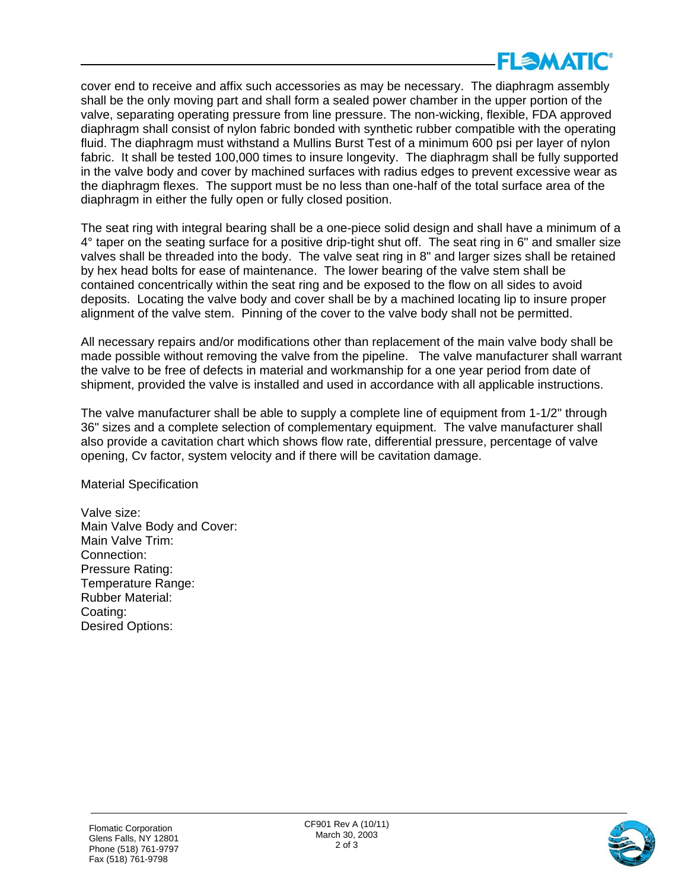

cover end to receive and affix such accessories as may be necessary. The diaphragm assembly shall be the only moving part and shall form a sealed power chamber in the upper portion of the valve, separating operating pressure from line pressure. The non-wicking, flexible, FDA approved diaphragm shall consist of nylon fabric bonded with synthetic rubber compatible with the operating fluid. The diaphragm must withstand a Mullins Burst Test of a minimum 600 psi per layer of nylon fabric. It shall be tested 100,000 times to insure longevity. The diaphragm shall be fully supported in the valve body and cover by machined surfaces with radius edges to prevent excessive wear as the diaphragm flexes. The support must be no less than one-half of the total surface area of the diaphragm in either the fully open or fully closed position.

The seat ring with integral bearing shall be a one-piece solid design and shall have a minimum of a 4° taper on the seating surface for a positive drip-tight shut off. The seat ring in 6" and smaller size valves shall be threaded into the body. The valve seat ring in 8" and larger sizes shall be retained by hex head bolts for ease of maintenance. The lower bearing of the valve stem shall be contained concentrically within the seat ring and be exposed to the flow on all sides to avoid deposits. Locating the valve body and cover shall be by a machined locating lip to insure proper alignment of the valve stem. Pinning of the cover to the valve body shall not be permitted.

All necessary repairs and/or modifications other than replacement of the main valve body shall be made possible without removing the valve from the pipeline. The valve manufacturer shall warrant the valve to be free of defects in material and workmanship for a one year period from date of shipment, provided the valve is installed and used in accordance with all applicable instructions.

The valve manufacturer shall be able to supply a complete line of equipment from 1-1/2" through 36" sizes and a complete selection of complementary equipment. The valve manufacturer shall also provide a cavitation chart which shows flow rate, differential pressure, percentage of valve opening, Cv factor, system velocity and if there will be cavitation damage.

Material Specification

Valve size: Main Valve Body and Cover: Main Valve Trim: Connection: Pressure Rating: Temperature Range: Rubber Material: Coating: Desired Options: